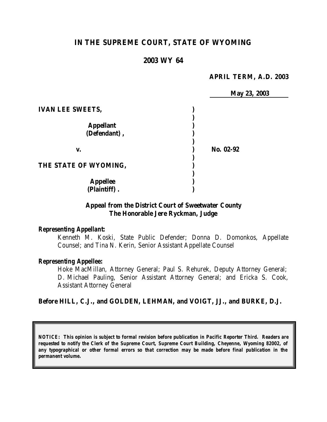# **IN THE SUPREME COURT, STATE OF WYOMING**

## **2003 WY 64**

#### **APRIL TERM, A.D. 2003**

|                         | May 23, 2003 |  |
|-------------------------|--------------|--|
| <b>IVAN LEE SWEETS,</b> |              |  |
|                         |              |  |
| <b>Appellant</b>        |              |  |
| (Defendant),            |              |  |
|                         |              |  |
| v.                      | No. 02-92    |  |
|                         |              |  |
| THE STATE OF WYOMING,   |              |  |
|                         |              |  |
| <b>Appellee</b>         |              |  |
| (Plaintiff).            |              |  |

## **Appeal from the District Court of Sweetwater County The Honorable Jere Ryckman, Judge**

#### *Representing Appellant:*

Kenneth M. Koski, State Public Defender; Donna D. Domonkos, Appellate Counsel; and Tina N. Kerin, Senior Assistant Appellate Counsel

#### *Representing Appellee:*

Hoke MacMillan, Attorney General; Paul S. Rehurek, Deputy Attorney General; D. Michael Pauling, Senior Assistant Attorney General; and Ericka S. Cook, Assistant Attorney General

### **Before HILL, C.J., and GOLDEN, LEHMAN, and VOIGT, JJ., and BURKE, D.J.**

*NOTICE: This opinion is subject to formal revision before publication in Pacific Reporter Third. Readers are requested to notify the Clerk of the Supreme Court, Supreme Court Building, Cheyenne, Wyoming 82002, of any typographical or other formal errors so that correction may be made before final publication in the permanent volume.*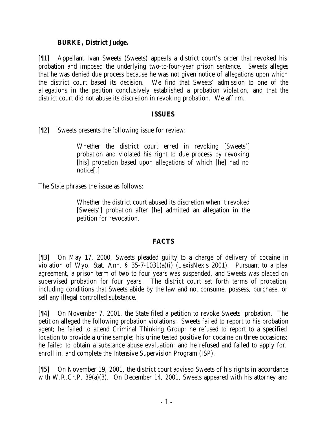## **BURKE, District Judge.**

[¶1] Appellant Ivan Sweets (Sweets) appeals a district court's order that revoked his probation and imposed the underlying two-to-four-year prison sentence. Sweets alleges that he was denied due process because he was not given notice of allegations upon which the district court based its decision. We find that Sweets' admission to one of the allegations in the petition conclusively established a probation violation, and that the district court did not abuse its discretion in revoking probation. We affirm.

#### **ISSUES**

[¶2] Sweets presents the following issue for review:

Whether the district court erred in revoking [Sweets'] probation and violated his right to due process by revoking [his] probation based upon allegations of which [he] had no notice[.]

The State phrases the issue as follows:

Whether the district court abused its discretion when it revoked [Sweets'] probation after [he] admitted an allegation in the petition for revocation.

## **FACTS**

[¶3] On May 17, 2000, Sweets pleaded guilty to a charge of delivery of cocaine in violation of Wyo. Stat. Ann. § 35-7-1031(a)(i) (LexisNexis 2001). Pursuant to a plea agreement, a prison term of two to four years was suspended, and Sweets was placed on supervised probation for four years. The district court set forth terms of probation, including conditions that Sweets abide by the law and not consume, possess, purchase, or sell any illegal controlled substance.

[¶4] On November 7, 2001, the State filed a petition to revoke Sweets' probation. The petition alleged the following probation violations: Sweets failed to report to his probation agent; he failed to attend Criminal Thinking Group; he refused to report to a specified location to provide a urine sample; his urine tested positive for cocaine on three occasions; he failed to obtain a substance abuse evaluation; and he refused and failed to apply for, enroll in, and complete the Intensive Supervision Program (ISP).

[¶5] On November 19, 2001, the district court advised Sweets of his rights in accordance with W.R.Cr.P. 39(a)(3). On December 14, 2001, Sweets appeared with his attorney and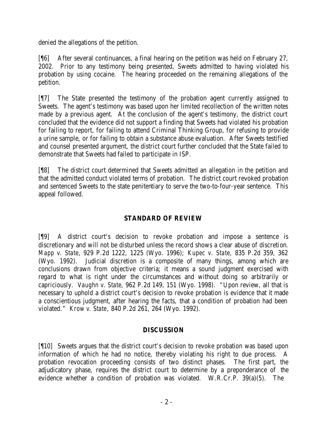denied the allegations of the petition.

[¶6] After several continuances, a final hearing on the petition was held on February 27, 2002. Prior to any testimony being presented, Sweets admitted to having violated his probation by using cocaine. The hearing proceeded on the remaining allegations of the petition.

[¶7] The State presented the testimony of the probation agent currently assigned to Sweets. The agent's testimony was based upon her limited recollection of the written notes made by a previous agent. At the conclusion of the agent's testimony, the district court concluded that the evidence did not support a finding that Sweets had violated his probation for failing to report, for failing to attend Criminal Thinking Group, for refusing to provide a urine sample, or for failing to obtain a substance abuse evaluation. After Sweets testified and counsel presented argument, the district court further concluded that the State failed to demonstrate that Sweets had failed to participate in ISP.

[¶8] The district court determined that Sweets admitted an allegation in the petition and that the admitted conduct violated terms of probation. The district court revoked probation and sentenced Sweets to the state penitentiary to serve the two-to-four-year sentence. This appeal followed.

# **STANDARD OF REVIEW**

[¶9] A district court's decision to revoke probation and impose a sentence is discretionary and will not be disturbed unless the record shows a clear abuse of discretion. *Mapp v. State*, 929 P.2d 1222, 1225 (Wyo. 1996); *Kupec v. State,* 835 P.2d 359, 362 (Wyo. 1992). Judicial discretion is a composite of many things, among which are conclusions drawn from objective criteria; it means a sound judgment exercised with regard to what is right under the circumstances and without doing so arbitrarily or capriciously. *Vaughn v. State*, 962 P.2d 149, 151 (Wyo. 1998). "Upon review, all that is necessary to uphold a district court's decision to revoke probation is evidence that it made a conscientious judgment, after hearing the facts, that a condition of probation had been violated." *Krow v. State*, 840 P.2d 261, 264 (Wyo. 1992).

## **DISCUSSION**

[¶10] Sweets argues that the district court's decision to revoke probation was based upon information of which he had no notice, thereby violating his right to due process. A probation revocation proceeding consists of two distinct phases. The first part, the adjudicatory phase, requires the district court to determine by a preponderance of the evidence whether a condition of probation was violated. W.R.Cr.P. 39(a)(5). The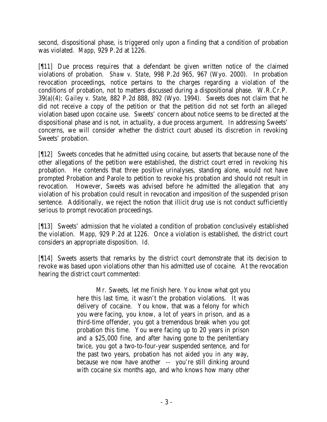second, dispositional phase, is triggered only upon a finding that a condition of probation was violated. *Mapp*, 929 P.2d at 1226.

[¶11] Due process requires that a defendant be given written notice of the claimed violations of probation. *Shaw v. State*, 998 P.2d 965, 967 (Wyo. 2000). In probation revocation proceedings, notice pertains to the charges regarding a violation of the conditions of probation, not to matters discussed during a dispositional phase. W.R.Cr.P. 39(a)(4); *Gailey v. State*, 882 P.2d 888, 892 (Wyo. 1994). Sweets does not claim that he did not receive a copy of the petition or that the petition did not set forth an alleged violation based upon cocaine use. Sweets' concern about notice seems to be directed at the dispositional phase and is not, in actuality, a due process argument. In addressing Sweets' concerns, we will consider whether the district court abused its discretion in revoking Sweets' probation.

[¶12] Sweets concedes that he admitted using cocaine, but asserts that because none of the other allegations of the petition were established, the district court erred in revoking his probation. He contends that three positive urinalyses, standing alone, would not have prompted Probation and Parole to petition to revoke his probation and should not result in revocation. However, Sweets was advised before he admitted the allegation that *any* violation of his probation could result in revocation and imposition of the suspended prison sentence. Additionally, we reject the notion that illicit drug use is not conduct sufficiently serious to prompt revocation proceedings.

[¶13] Sweets' admission that he violated a condition of probation conclusively established the violation. *Mapp*, 929 P.2d at 1226. Once a violation is established, the district court considers an appropriate disposition. *Id.*

[¶14] Sweets asserts that remarks by the district court demonstrate that its decision to revoke was based upon violations other than his admitted use of cocaine. At the revocation hearing the district court commented:

> Mr. Sweets, let me finish here. You know what got you here this last time, it wasn't the probation violations. It was delivery of cocaine. You know, that was a felony for which you were facing, you know, a lot of years in prison, and as a third-time offender, you got a tremendous break when you got probation this time. You were facing up to 20 years in prison and a \$25,000 fine, and after having gone to the penitentiary twice, you got a two-to-four-year suspended sentence, and for the past two years, probation has not aided you in any way, because we now have another -- you're still dinking around with cocaine six months ago, and who knows how many other